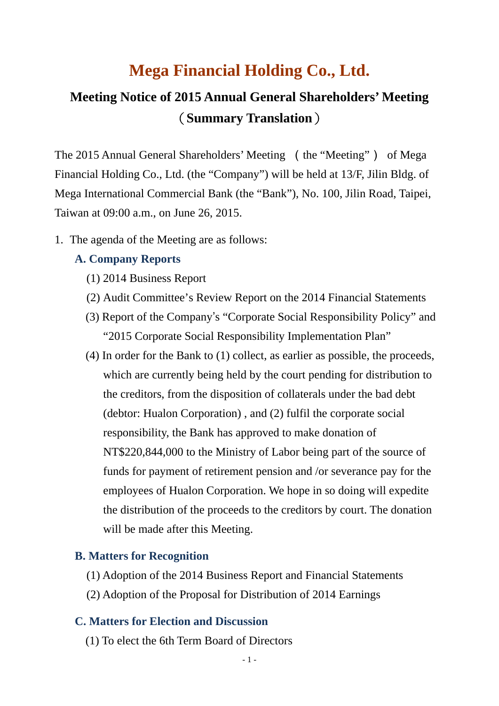# **Mega Financial Holding Co., Ltd.**

## **Meeting Notice of 2015 Annual General Shareholders' Meeting** (**Summary Translation**)

The 2015 Annual General Shareholders' Meeting (the "Meeting") of Mega Financial Holding Co., Ltd. (the "Company") will be held at 13/F, Jilin Bldg. of Mega International Commercial Bank (the "Bank"), No. 100, Jilin Road, Taipei, Taiwan at 09:00 a.m., on June 26, 2015.

1. The agenda of the Meeting are as follows:

#### **A. Company Reports**

- (1) 2014 Business Report
- (2) Audit Committee's Review Report on the 2014 Financial Statements
- (3) Report of the Company's "Corporate Social Responsibility Policy" and "2015 Corporate Social Responsibility Implementation Plan"
- (4) In order for the Bank to (1) collect, as earlier as possible, the proceeds, which are currently being held by the court pending for distribution to the creditors, from the disposition of collaterals under the bad debt (debtor: Hualon Corporation) , and (2) fulfil the corporate social responsibility, the Bank has approved to make donation of NT\$220,844,000 to the Ministry of Labor being part of the source of funds for payment of retirement pension and /or severance pay for the employees of Hualon Corporation. We hope in so doing will expedite the distribution of the proceeds to the creditors by court. The donation will be made after this Meeting.

#### **B. Matters for Recognition**

- (1) Adoption of the 2014 Business Report and Financial Statements
- (2) Adoption of the Proposal for Distribution of 2014 Earnings

#### **C. Matters for Election and Discussion**

(1) To elect the 6th Term Board of Directors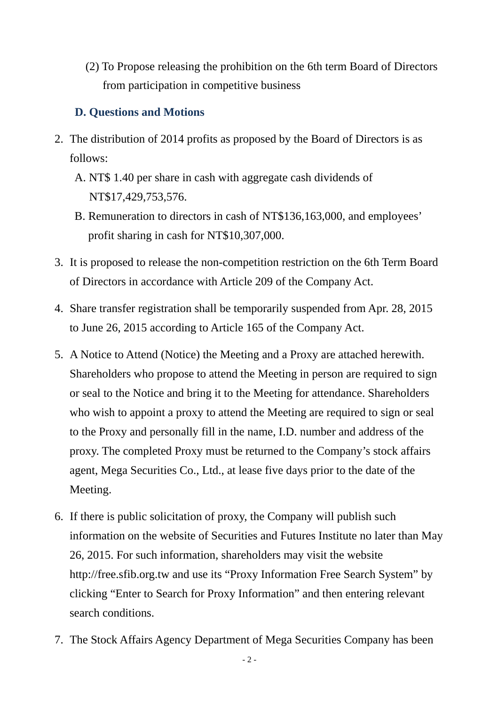(2) To Propose releasing the prohibition on the 6th term Board of Directors from participation in competitive business

### **D. Questions and Motions**

- 2. The distribution of 2014 profits as proposed by the Board of Directors is as follows:
	- A. NT\$ 1.40 per share in cash with aggregate cash dividends of NT\$17,429,753,576.
	- B. Remuneration to directors in cash of NT\$136,163,000, and employees' profit sharing in cash for NT\$10,307,000.
- 3. It is proposed to release the non-competition restriction on the 6th Term Board of Directors in accordance with Article 209 of the Company Act.
- 4. Share transfer registration shall be temporarily suspended from Apr. 28, 2015 to June 26, 2015 according to Article 165 of the Company Act.
- 5. A Notice to Attend (Notice) the Meeting and a Proxy are attached herewith. Shareholders who propose to attend the Meeting in person are required to sign or seal to the Notice and bring it to the Meeting for attendance. Shareholders who wish to appoint a proxy to attend the Meeting are required to sign or seal to the Proxy and personally fill in the name, I.D. number and address of the proxy. The completed Proxy must be returned to the Company's stock affairs agent, Mega Securities Co., Ltd., at lease five days prior to the date of the Meeting.
- 6. If there is public solicitation of proxy, the Company will publish such information on the website of Securities and Futures Institute no later than May 26, 2015. For such information, shareholders may visit the website http://free.sfib.org.tw and use its "Proxy Information Free Search System" by clicking "Enter to Search for Proxy Information" and then entering relevant search conditions.
- 7. The Stock Affairs Agency Department of Mega Securities Company has been